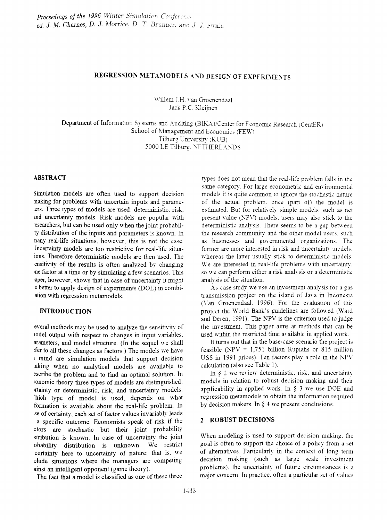# REGRESSION METAMODELS AND DESIGN OF EXPERIMENTS

Willem J.H. van Groenendaal Jack P.C. Kleijnen

Department of Information Systems and Auditing (BIKA)/Center for Economic Research (CentER) School of Management and Economics (FEW) Tilburg University (KUB) 5000 LE Tilburg. NETHERL.ANDS

#### **ABSTRACT**

Simulation models are often used to support decision naking for problems with uncertain inputs and parameers. Three types of models are used: deterministic. risk. md uncertainty models. Risk models are popular \\'ith esearchers, but can be used only when the joint probabilty distribution of the inputs and parameters is known. In nany real-life situations, however, this is not the case. Incertainty models are too restrictive for real-life situaions. Therefore deterministic models are then used. The ensitivity of the results is often analyzed by changing ne factor at a time or by simulating a few scenarios. This aper, however, shows that in case of uncertainty it might e better to apply design of experiments (DOE) in combiation with regression metamodels.

#### **INTRODUCTION**

everal methods may be used to analyze the sensitivity of Lodel output with respect to changes in input variables. arameters, and model structure. (In the sequel \ve shall fer to all these changes as factors.) The models we have <sup>l</sup> mind are simulation models that support decision aking when no analytical models are available to ~scribe the problem and to fmd an optimal solution. In :onomic theory three types of models are distinguished: rtainty or deterministic, risk, and uncertainty models. hich type of model is used, depends on what formation is available about the real-life problem. In se of certainty, each set of factor values invariably leads a specific outcome. Economists speak of risk if the etors are stochastic but their joint probability stribution is known. In case of uncertainty the joint obability distribution is unknown. We restrict certainty here to uncertainty of nature; that is, we clude situations where the managers are competing ainst an intelligent opponent (game theory).

The fact that a model is classified as one of these three

types does not mean that the real-life problem falls in the same category. For large econometric and environmental models it is quite common to ignore the stochastic nature of the actual problem. once (part of) the model is estimated. But for relatively simple models, such as net present value (NPV) models. users may also stick to the deterministic analysis. There seems to be a gap between the research community and the other model users, such as businesses and governmental organizations. The former are more interested in risk and uncertainty models. whereas the latter usually stick to deterministic models. We are interested in real-life problems with uncertainty. so we can perform either a risk analysis or a deterministic analysis of the situation.

As case study we use an investment analysis for a gas transmission project on the island of Jaya in Indonesia (\ran Groenendaal. 1996). For the evaluation of this project the World Bank's guidelines are followed (Ward and Deren, 1991). The NPV is the criterion used to judge the investment. This paper aims at methods that can be used within the restricted time available in applied work.

It turns out that in the base-case scenario the project is feasible (NPV = 1.751 billion Rupiahs or 815 million US\$ in 1991 prices). Ten factors play a role in the  $NPV$ calculation (also see Table 1).

In  $\zeta$  2 we review deterministic, risk, and uncertainty models in relation to robust decision making and their applicability in applied work. In  $\S$  3 we use DOE and regression metamodels to obtain the information required by decision makers. In  $\S$  4 we present conclusions.

#### 2 ROBUST DECISIONS

When modeling is used to support decision making, the goal is often to support the choice of a policy from a set of alternatives. Particularly in the context of long term decision making (such as large scale investment problems), the uncertainty of future circumstances is a major concern. In practice, often a particular set of values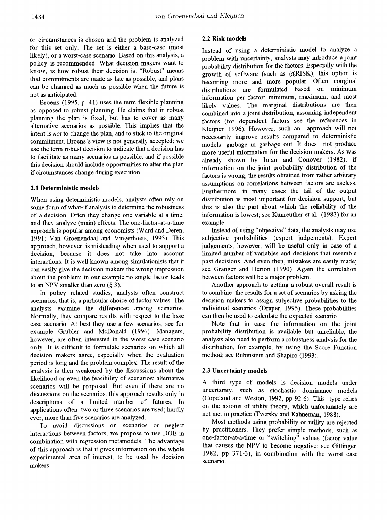or circumstances is chosen and the problem is analyzed for this set only. The set is either a base-case (most likely), or a worst-case scenario. Based on this analysis, a policy is recommended. What decision makers want to know, is how robust their decision is. "Robust" means that commitments are made as late as possible, and plans can be changed as much as possible when the future is not as anticipated.

Broens (1995, p. 41) uses the term flexible planning as opposed to robust planning. He claims that in robust planning the plan is fixed, but has to cover as many alternative scenarios as possible. This implies that the intent is *not* to change the plan, and to stick to the original commitment. Broens's view is not generally accepted; we use the term robust decision to indicate that a decision has to facilitate as many scenarios as possible, and if possible this decision should include opportunities to alter the plan if circumstances change during execution.

#### 2.1 Deterministic models

When using deterministic models, analysts often rely on some form of what-if analysis to determine the robustness of a decision. Often they change one variable at a time, and they analyze (main) effects. The one-factor-at-a-time approach is popular among economists (Ward and Deren, 1991; Van Groenendaal and Vingerhoets, 1995). This approach, however, is misleading when used to support a decision, because it does not take into account interactions. It is well known among simulationists that it can easily give the decision makers the wrong impression about the problem; in our example no single factor leads to an NPV smaller than zero  $(\S 3)$ .

In policy related studies, analysts often construct scenarios, that is, a particular choice of factor values. The analysts examine the differences among scenarios. Normally, they compare results with respect to the base case scenario. At best they use a few scenarios; see for example Grübler and McDonald (1996). Managers, however, are often interested in the worst case scenario only. It is difficult to formulate scenarios on which all decision makers agree, especially when the evaluation period is long and the problem complex. The result of the analysis is then weakened by the discussions about the likelihood or even the feasibility of scenarios; alternative scenarios will be proposed. But even if there are no discussions on the scenarios. this approach results only in descriptions of a limited nwnber of futures. In applications often two or three scenarios are used; hardly ever, more than five scenarios are analyzed.

To avoid discussions on scenarios or neglect interactions between factors, we propose to use DOE in combination with regression metamodels. The advantage of this approach is that it gives information on the whole experimental area of interest, to be used by decision makers.

#### 2.2 Risk models

Instead of using a deterministic model to analyze a problem with uncertainty, analysts may introduce a joint probability distribution for the factors. Especially with the growth of software (such as @RISK), this option is becoming more and more popular. Often marginal distributions are formulated based on minimum information per factor: minimum, maximum, and most likely values. The marginal distributions are then combined into a joint distribution, assuming independent factors (for dependent factors see the references in Kleijnen 1996). However, such an approach will not necessarily improve results compared to deterministic models: garbage in garbage out. It does not produce more useful information for the decision makers. As was already shown by Iman and Conover (1982), if information on the joint probability distribution of the factors is wrong, the results obtained from rather arbitrary assumptions on correlations between factors are useless. Furthermore, in many cases the tail of the output distribution is most important for decision support, but this is also the part about which the reliability of the information is lowest; see Kunreuther et al. (1983) for an example.

Instead of using "objective" data, the analysts may use subjective probabilities (expert judgements). Expert judgements, however, will be useful only in case of a limited number of variables and decisions that resemble past decisions. And even then, mistakes are easily made; see Granger and Herion (1990). Again the correlation between factors will be a major problem.

Another approach to getting a robust overall result is to combine the results for a set of scenarios by asking the decision makers to assign subjective probabilities to the individual scenarios (Draper, 1995). These probabilities can then be used to calculate the expected scenario.

Note that in case the information on the joint probability distribution is available but unreliable, the analysts also need to perform a robustness analysis for the distribution, for example, by using the Score Function method; see Rubinstein and Shapiro (1993).

#### 2.3 Uncertainty models

A third type of models is decision models under uncertainty, such as stochastic dominance models (Copeland and Weston, 1992, pp 92-6). This type relies on the axioms of utility theory, which unfortunately are not met in practice (Tversky and Kahneman, 1988).

Most methods using probability or utility are rejected by practitioners. They prefer simple methods, such as one-factor-at-a-time or "switching" values (factor value that causes the NPV to become negative; see Gittinger, 1982, pp 371-3), in combination with the worst case scenario.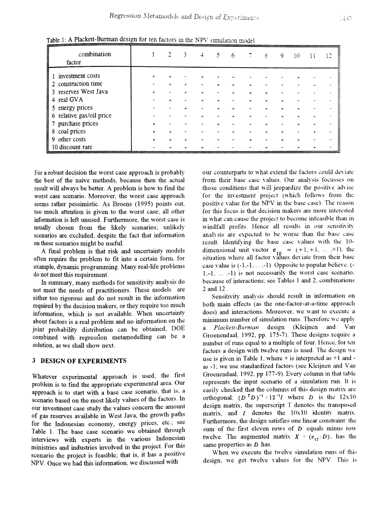| .c.c.                    |           |           |   |   | <u>Jamarton monet</u> |             |           |   |    |   |    |
|--------------------------|-----------|-----------|---|---|-----------------------|-------------|-----------|---|----|---|----|
| combination<br>factor    |           |           | 3 | 4 | 6                     |             | S         | 9 | 10 |   | 12 |
| 1 investment costs       | $\ddot{}$ |           |   |   |                       |             |           |   |    |   |    |
| 2 construction time      |           |           |   |   |                       |             |           |   |    |   |    |
| 3 reserves West Java     |           |           |   |   |                       | $+$         |           |   |    |   |    |
| 4 real GVA               |           |           |   |   |                       | $\ddotmark$ | $\ddot{}$ |   |    |   |    |
| 5 energy prices          |           |           |   |   |                       |             |           |   |    |   |    |
| 6 relative gas/oil price |           |           |   |   |                       | ÷           |           |   |    |   |    |
| 7 purchase prices        | +         |           |   |   |                       | ÷           |           |   |    |   |    |
| 8 coal prices            | +         |           |   |   |                       |             |           |   |    | ÷ |    |
| 9 other costs            | +         | $\ddot{}$ |   |   |                       | $\ddot{}$   |           |   |    |   |    |
| 10 discount rate         |           |           |   |   |                       |             |           |   |    |   |    |

Table 1: A Plackett-Burman design for ten factors in the NPV simulation model

For a robust decision the worst case approach is probably the best of the naive methods, because then the actual result will always be better. A problem is how to find the worst case scenario. Moreover, the worst case approach seems rather pessimistic. As Broens (1995) points out, too much attention is given to the worst case: all other information is left unused. Furthermore, the worst case is usually chosen from the likely scenarios; unlikely scenarios are excluded, despite the fact that information on these scenarios might be useful.

A fmal problem is that risk and uncertainty models often require the problem to fit into a certain fonn, for example, dynamic programming. Many real-life problems do not meet this requirement.

In summary, many methods for sensitivity analysis do not meet the needs of practitioners. These models are either too rigorous and do not result in the information required by the decision makers, or they require too much information, which is not available. When uncertainty about factors is a real problem and no information on the joint probability distribution can be obtained, DOE combined with regression metamodelling can be a solution, as we shall show next.

#### 3 DESIGN OF EXPERIMENTS

Whatever experimental approach is used, the first problem is to fmd the appropriate experimental area. Our approach is to start with a base case scenario, that is, a scenario based on the most likely values of the factors. In our investment case study the values concern the amount of gas reserves available in West Java, the growth paths for the Indonesian economy, energy prices, etc.; see Table 1. The base case scenario we obtained through interviews with experts in the various Indonesian ministries and industries involved in the project. For this scenario the project is feasible; that is, it has a positive NPV. Once we had this information, we discussed with

our counterparts to what extend the factors could deviate from their base case values. Our analysis focusses on those conditions that will jeopardize the positive advise for the investment project (which follows from the positive value for the NPV in the base case). The reason for this focus is that decision makers are more interested in what can cause the project to become infeasible than in windfall profits. Hence all results in our sensitivity analysis are expected to be worse than the base case result. Identifying the base case values with the 10dimensional unit vector  $e_{10} = (+1, +1, \dots, +1)$ , the situation where all factor values deviate from their base case value is  $(-1,-1, \ldots, -1)$ . Opposite to popular believe,  $( 1,-1, \ldots, -1$ ) is not necessarily the worst case scenario, because of interactions; see Tables 1 and 2, combinations 2 and 12 .

Sensitivity analysis should result in information on both main effects (as the one-factor-at-a-time approach does) and interactions. Moreover, we want to execute a minimum number of simulation runs. Therefore we apply a *Plackett-Burman* design (Kleijnen and Van Groenendaal, 1992, pp. 175-7). These designs require a number of runs equal to a multiple of four. Hence, for ten factors a design with twelve runs is used. The design we use is given in Table 1, where  $+$  is interpreted as  $+1$  and as -1: we use standardized factors (see Kleijnen and Van GroenendaaL 1992, pp 177-9). Every column in that tahle represents the input scenario of a simulation run. It is easily checked that the columns of this design matrix are orthogonal:  $(D^T D)^{-1} = 12^{-1}I$  where D is the  $12x10$ design matrix, the superscript T denotes the transposed matrix, and  $I$  denotes the  $10x10$  identity matrix. Furthermore, the design satisfies one linear constraint: the sum of the first eleven rows of  $D$  equals minus row twelve. The augmented matrix  $X = (e_{12}:D)$ , has the same properties as  $D$  has.

When we execute the twelve simulation runs of this design, we get twelve values for the NPV. This is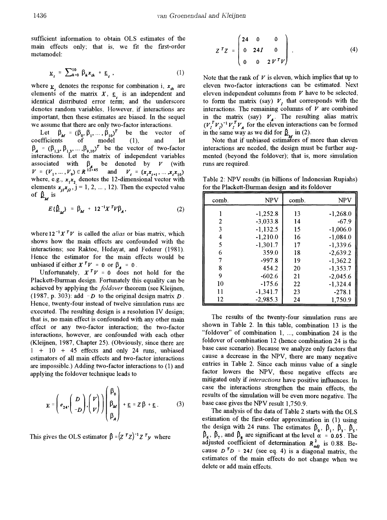sufficient information to obtain OLS estimates of the main effects only; that is, we fit the first-order metamodel:

$$
\underline{v}_t = \sum_{h=0}^{10} \beta_h x_{th} + \underline{\epsilon}_t \,, \tag{1}
$$

where  $\underline{v}_t$  denotes the response for combination i,  $x_{th}$  are elements of the matrix  $X$ ,  $\underline{\epsilon}$ , is an independent and identical distributed error term; and the underscore denotes random variables. However, if interactions are important, then these estimates are biased. In the sequel we assume that there are only two-factor interactions.

Let  $\beta_M = (\beta_0, \beta_1, ..., \beta_{10})^T$  be the vector of coefficients of model (1), and let  $\beta_A = (\beta_{1,2}, \beta_{1,3}, \dots, \beta_{9,10})^T$  be the vector of two-factor interactions. Let the' matrix of independent variables associated with  $\beta$ , be denoted by  $V$  (with  $V = (V_1, ..., V_9) \in R^{12 \times 45}$  and  $V_i = (x_i x_{i+1}, ..., x_i x_{10})$ where, e.g.,  $x_1x_2$  denotes the 12-dimensional vector with elements  $x_{ij}x_{ij}$ ,  $j = 1, 2, ..., 12$ ). Then the expected value of  $\beta_{\rm M}$  is

$$
E\{\hat{\beta}_M\} = \beta_M + 12^{-1}X^T V \beta_A, \qquad (2)
$$

where  $12^{-1}X^T V$  is called the *alias* or bias matrix, which shows how the main effects are confounded with the interactions; see Raktoe, Hedayat, and Federer (1981). Hence the estimator for the main effects would be unbiased if either  $X^T V = 0$  or  $\beta_A = 0$ .

Unfortunately,  $X^T V = 0$  does not hold for the Plackett-Burman design. Fortunately this equality can be achieved by applying the *fo/dover* theorem (see Kleijnen, (1987, p. 303): add  $-D$  to the original design matrix D. Hence, twenty-four instead of twelve simulation runs are executed. The resulting design is a resolution IV design; that is, no main effect is confounded with any other main effect or any two-factor interaction; the two-factor interactions, however, are confounded with each other (Kleijnen, 1987, Chapter 25). (Obviously, since there are  $1 + 10 + 45$  effects and only 24 runs, unbiased estimators of all main effects and two-factor interactions are impossible.) Adding two-factor interactions to (1) and applying the foldover technique leads to

$$
\underline{\mathbf{v}} = \begin{pmatrix} \mathbf{v} \\ \mathbf{e}_{24} \end{pmatrix} \begin{pmatrix} D \\ -D \end{pmatrix} \begin{pmatrix} V \\ V \end{pmatrix} \begin{pmatrix} \beta_0 \\ \beta_M \\ \beta_A \end{pmatrix} + \underline{\mathbf{c}} = Z \beta + \underline{\mathbf{c}} \,. \tag{3}
$$

This gives the OLS estimator  $\beta = (Z^T Z)^{-1} Z^T \gamma$  where

$$
Z^T Z = \begin{pmatrix} 24 & 0 & 0 \\ 0 & 24I & 0 \\ 0 & 0 & 2V^T V \end{pmatrix} . \tag{4}
$$

Note that the rank of  $V$  is eleven, which implies that up to eleven two-factor interactions can be estimated. Next eleven independent columns from *V* have to be selected, to form the matrix (say)  $V$ , that corresponds with the interactions. The remaining columns of  $V$  are combined in the matrix (say)  $V_A$ . The resulting alias matrix  $(V_I^T V_I)^{-1} V_I^T V_A$  for the eleven interactions can be formed in the same way as we did for  $\beta$  in (2).

Note that if unbiased estimators of more than eleven interactions are needed, the design must be further augmented (beyond the foldover); that is, more simulation runs are required.

Table 2: NPV results (in billions of Indonesian Rupiahs) for the Plackett-Burman design and its foldover

| comb. | <b>NPV</b> | comb. | <b>NPV</b> |
|-------|------------|-------|------------|
|       | $-1,252.8$ | 13    | $-1,268.0$ |
| 2     | $-3,033.8$ | 14    | $-67.9$    |
| 3     | $-1,132.5$ | 15    | $-1.006.0$ |
| 4     | $-1,210.0$ | 16    | $-1,084.0$ |
| 5     | $-1,301.7$ | 17    | $-1.339.6$ |
| 6     | 359.0      | 18    | $-2.639.2$ |
| 7     | $-997.8$   | 19    | $-1,362.2$ |
| 8     | 454.2      | 20    | $-1,353.7$ |
| 9     | $-602.6$   | 21    | $-2,045.6$ |
| 10    | $-175.6$   | 22    | $-1,324.4$ |
| 11    | $-1,341.7$ | 23    | $-278.1$   |
| 12    | $-2.985.3$ | 24    | 1,750.9    |

The results of the twenty-four simulation runs are shown in Table 2. In this table, combination 13 is the "foldover" of combination 1, ..., combination 24 is the foldover of combination 12 (hence combination 24 is the base case scenario). Because we analyze only factors that cause a decrease in the NPV, there are many negative entries in Table 2. Since each minus value of a single factor lowers the NPV, these negative effects are mitigated only if *interactions* have positive influences. In case the interactions strengthen the main effects, the results of the simulation will be even more negative. The base case gives the NPV result 1,750.9.

The analysis of the data of Table 2 starts with the OLS estimation of the first-order approximation in (1) using<br>the design with 24 runs. The estimates  $\beta_0$ ,  $\beta_1$ ,  $\beta_3$ ,  $\beta_5$ , the design with 24 runs. The estimates  $\beta_0$ ,  $\beta_1$ ,  $\beta_3$ ,  $\beta_5$ ,  $\beta_6$ ,  $\beta_7$ , and  $\beta_8$  are significant at the level  $\alpha = 0.05$ . The adjusted coefficient of determination  $R_{\text{add}}^2$  is 0.88. Because  $D^T D = 24I$  (see eq. 4) is a diagonal matrix, the estimates of the main effects do not change when we delete or add main effects.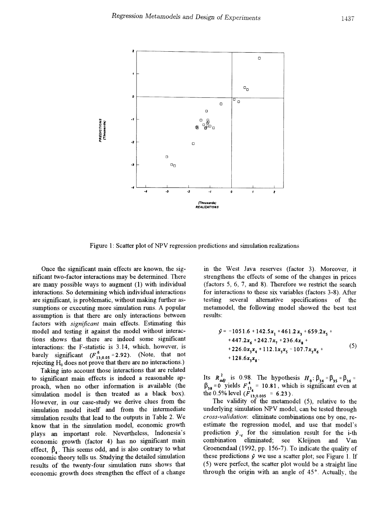

Figure 1: Scatter plot of NPV regression predictions and simulation realizations

Once the significant main effects are known, the significant two-factor interactions may be detennined. There are many possible ways to augment (1) with individual interactions. So determining which individual interactions are significant, is problematic, without making further assumptions or executing more simulation runs. A popular assumption is that there are only interactions between factors with *significant* main effects. Estimating this model and testing it against the model without interactions shows that there are indeed some significant interactions: the F-statistic is 3.14, which, however, is barely significant  $(F_{13:0.05}^6 = 2.92)$ . (Note, that not rejecting  $H_0$  does not prove that there are no interactions.)

Taking into account those interactions that are related to significant main effects is indeed a reasonable approach, when no other information is available (the simulation model is then treated as a black box). However, in our case-study we derive clues from the simulation model itself and from the intermediate simulation results that lead to the outputs in Table 2. We know that in the simulation model, economic growth plays an important role. Nevertheless, Indonesia's economic growth (factor 4) has no significant main effect,  $\beta_{\ell}$ . This seems odd, and is also contrary to what economic theory tells us. Studying the detailed simulation results of the twenty-four simulation runs shows that economic growth does strengthen the effect of a change

in the West Java resetves (factor 3). Moreover, it strengthens the effects of some of the changes in prices (factors 5, 6, 7, and 8). Therefore we restrict the search for interactions to these six variables (factors 3-8). After testing several alternative specifications of the metamodel, the following model showed the best test results:

$$
\hat{y} = -1051.6 + 142.5x_1 + 461.2x_3 + 659.2x_5 ++ 447.2x_6 + 242.7x_7 + 236.4x_8 ++ 226.0x_3x_4 + 112.1x_3x_5 - 107.7x_3x_6 ++ 128.6x_3x_8.
$$
\n(5)

Its  $R_{adj}^2$  is 0.98. The hypothesis  $H_0: \beta_{34} = \beta_{35} = \beta_{36} =$  $\beta_{38} = 0$  yields  $F_{13}^4 = 10.81$ , which is significant even at the 0.5% level  $(F_{13:0.005}^4 = 6.23)$ .

The validity of the metamodel  $(5)$ , relative to the underlying simulation NPV model, can be tested through *cross-validation:* eliminate combinations one by one, reestimate the regression model, and use that model's prediction  $\hat{y}_{-l}$  for the simulation result for the i-th combination eliminated; see Kleijnen and Van GroenendaaI (1992, pp. 156-7). To indicate the quality of these predictions  $\hat{y}$  we use a scatter plot; see Figure 1. If  $(5)$  were perfect, the scatter plot would be a straight line through the origin with an angle of 45°. Actually, the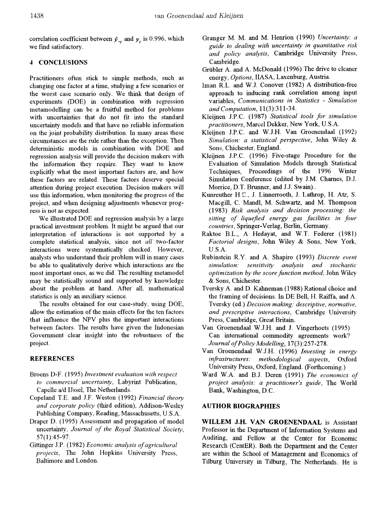correlation coefficient between  $\hat{y}_{-i}$  and  $y_i$  is 0.996, which we find satisfactory.

## 4 CONCLUSIONS

Practitioners often stick to simple methods, such as changing one factor at a time, studying a few scenarios or the worst case scenario only. We think that design of experiments (DOE) in combination with regression metamodelling can be a fruitful method for problems with uncertainties that do not fit into the standard uncertainty models and that have no reliable information on the joint probability distribution. In many areas these circumstances are the rule rather than the exception. Then detenninistic models in combination with DOE and regression analysis will provide the decision makers \vith the information they require. They want to know explicitly what the most important factors are, and how these factors are related. These factors deserve special attention during project execution. Decision makers will use this information, when monitoring the progress of the project, and when designing adjustments whenever progress is not as expected.

We illustrated DOE and regression analysis by a large practical investment problem. It might be argued that our interpretation of interactions is not supported by a complete statistical analysis, since not *all* two-factor interactions were systematically checked. However, analysts who understand their problem will in many cases be able to qualitatively derive which interactions are the most important ones, as we did. The resulting metamodel may be statistically sound and supported by knowledge about the problem at hand. After all, mathematical statistics is only an auxiliary science.

The results obtained for our case-study, using DOE, allow the estimation of the main effects for the ten factors that influence the NPV plus the important interactions between factors. The results have given the Indonesian Government clear insight into the robustness of the project.

#### REFERENCES

- Broens D-F. (1995) *Investment evaluation with respect to commercial uncertainty,* Labyrint Publication, Capelle a/d IJssel, The Netherlands.
- Copeland T.E. and J.F. Weston (1992) *Financial theory and corporate policy* (third edition), Addison-Wesley Publishing Company, Reading, Massachusetts, U.S.A.
- Draper D. (1995) Assessment and propagation of model  $uncertainty$ , *Journal of the Royal Statistical Society*, 57(1):45-97.
- Gittinger J.P. (1982) *Economic analysis ofagricultural projects,* The John Hopkins University Press, Baltimore and London.
- Granger M. M. and M. Henrion (1990) *Uncertainty: a guide to dealing with uncertainty in quantitative risk* and *policy analysis*, Cambridge University Press, Cambridge.
- Grübler A. and A. McDonald (1996) The drive to cleaner energy, *Options,* IIASA, Laxenburg, Austria.
- Iman R.L. and W.J. Conover (1982) A distribution-free approach to inducing rank correlation among input variables, *COffzmunications in Statistics* - *Simulation and Computation,* 11(3):311-34.
- Kleijnen J.P.C. (1987) *Statistical tools for simulation practitioners,* Marcel Dekker, New York, U.S.A.
- Kleijnen J.P.C. and W.J.H. Van Groenendaal (1992) *Simulation: a statistical perspective,* John Wiley & Sons, Chichester, England.
- Kleijnen J.P.C. (1996) Five-stage Procedure for the Evaluation of Simulation Models through Statistical Techniques, Proceedings of the 1996 Winter Simulation Conference (edited by J.M. Chames, D.J. Morrice, D.T. Brunner, and J.1. Swain)..
- Kunreuther H.C., J. Linnerrooth, J. Lathrop, H. Atz, S. Macgill, C. Mandl, M. Schwartz, and M. Thompson (1983) *Risk analysis and decision processing: the sitting of liquefied energy gas facilities in four countries,* Springer-Verlag, Berlin, Gennany.
- Raktoe B.L., A Hedayat, and W.T. Federer (1981) *Factorial designs,* John Wiley & Sons, New York, U.S.A.
- Rubinstein R.Y. and A. Shapiro (1993) *Discrete event simulation: sensitivity analysis and stochastic optimization by the score function method,* John Wiley & Sons, Chichester.
- Tversky A. and D. Kahneman (1988) Rational choice and the framing of decisions. In DE Bell, H. Raiffa, and A. Tversky (ed.) *Decision making: descriptive, nomzative, and prescriptive interactions,* Cambridge University Press, Cambridge, Great Britain.
- Van Groenendaal W.J.H. and J. Vingerhoets (1995) Can international commodity agreements work? *Journal ofPolicy Modelling,* 17(3 ):257-278.
- Van Groenendaal W.J.H. (1996) *Investing in energy infrastructures: methodological aspects*, Oxford University Press, Oxford, England. (Forthcoming.)
- Ward W.A. and B.J. Deren (1991) The economics of *project analysis: a practitioner's guide,* The World Bank, Washington, D.C.

### AUTHOR BIOGRAPHIES

WILLEM J.H. VAN GROENENDAAL is Assistant Professor in the Department of Information Systems and Auditing, and Fellow at the Center for Economic Research (CentER). Both the Department and the Center are within the School of Management and Economics of Tilburg University in Tilburg, The Netherlands. He is